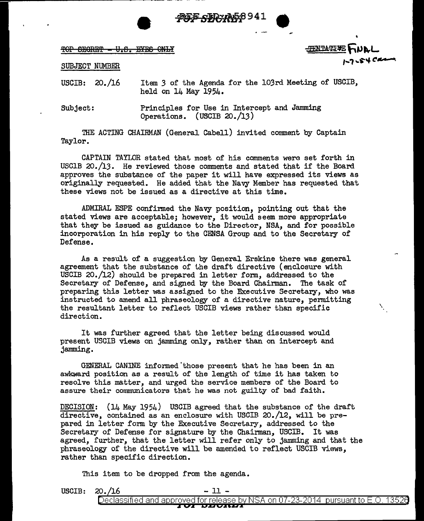-RIJE SIJRYAG8941

 $\overline{1}$  TOP SECRET - U.S. EYES ONLY. THE HEALT  $\overline{1}$ 

 $\begin{array}{ccccc} \text{SUBJECT} & \text{NUMBER} \end{array}$ 

'·

USCIB: 20. /16 Item 3 of the Agenda for the 103rd Meeting of USCIB, held on 14 May 1954.

Subject: Principles for Use in Intercept and Jamming Operations. (USCIB 20./13)

THE ACTING CHAIRMAN (General Cabell) invited comment by Captain Taylor.

CAPTAIN TAYLOR stated that most of his comments wera set forth in USClB 20./13. He reviewed those comments and stated that if the Board approves the substance of the paper it will have expressed its views as originally requested. He added that the Navy Member has requested that these views not be issued as a directive at this time.

ADMIRAL ESPE confirmed the Navy position, pointing out that the stated views are acceptable; however, it would seem more appropriate that they be issued as guidance to the Director, NSA, and for possible incorporation in his reply to the CENSA Group and to the Secretary of Defense.

As a result of a suggestion by General Erskine there was general agreement that the substance of the draft directive (enclosure with USCIB 20./12) should be prepared in letter form, addressed to the Secretary of Defense, and signed by the Board Chairman. The task of preparing this letter was assigned to the Executive Secretary, who was instructed to amend all phraseology of a directive nature, permitting the resultant letter to reflect USCIB views rather than specific direction.

It was further agreed that the letter being discussed would present USCIB views on jamming only, rather than on intercept and jamming.

GENERAL CANINE informed'those present that he has been in an awkward position as a result of the length of time it has taken to resolve this matter, and urged the service members of the Board to assure their communicators that he was not guilty of bad faith.

DECISION:  $(14$  May 1954) USCIB agreed that the substance of the draft directive, contained as an enclosure with USCIB 20./12, will be prepared in letter form by the Executive Secretary, addressed to the Secretary of Defense for signature by the Chairman, USCIB. It was agreed, further, that the letter will refer only to jamming and that the phraseology of the directive will be amended to reflect USCIB views. rather than specific direction.

This item to be dropped from the agenda.

| <b>USCIB:</b> | nr | $- -$<br>---                                                               |                                                         |               |    |
|---------------|----|----------------------------------------------------------------------------|---------------------------------------------------------|---------------|----|
|               | 10 | release<br>DV.<br>⊥⊔u<br>anr<br>n∉er<br>п<br>эн н<br>◡<br>---------------- | .<br>OО.<br>ו חפ<br>INSA.<br>. .<br>.<br>$-1$ $ -$<br>. | nursu<br>. II | วค |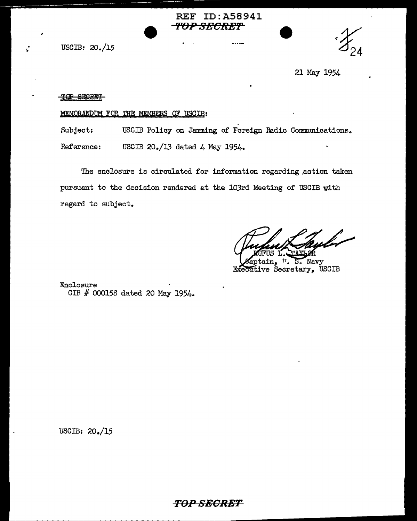USCIB:  $20.15$ 

7



21 May 1954

# ~C!P **SEGRE!F**

# MEMORANDUM FOR THE MEMBERS OF USCIB:

Subject: USCIB Policy on Jamming of Foreign Radio Communications.

REF ID:A58941

**TOP SECR"E'f'** 

Reference: USCIB 20./13 dated 4 May 1954.

The enclosure is circulated for information regarding.action taken pursuant to the decision rendered at the 103rd Meeting of USCIB with regard to subject.

S. Navy Executive Secretary, USCIB

Enclosure CIB # 000158 dated 20 May 1954.

USOIB: 20./15

*TO-.PSBCRET*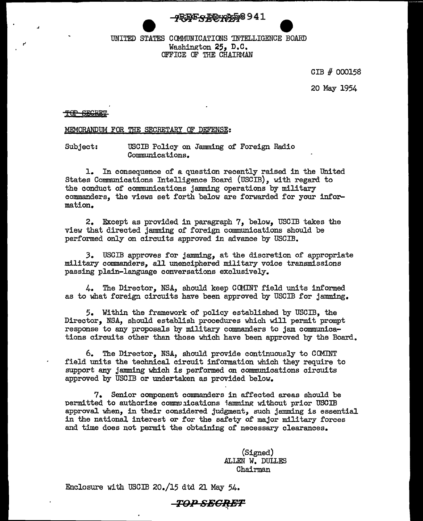-7555F-5-550-775578941

UNITED STATES CCMMUNICATIONS 'INTELLIGENCE BOARD Washington 25, D.c. OFFICE OF THE CHAIRMAN

GIB # 000158

20 May 1954

<u>-SECRET</u>

r'

MEMORANDUM FOR THE SECRETARY OF DEFENSE:

Subject: USCIB Policy on Jamming of Foreign Radio Communications.

1. In consequence of a question recently raised in the United States Communications Intelligence Board (USCIB), with regard to the conduct of communications jamming operations by military commanders, the views set forth below are forwarded for your information.

2. Except as provided in paragraph 7, below, USCIB takes the view that directed jamming of foreign communications should be performed only on circuits approved in advance by USCIB.

*3.* USCIB approves for jamming, at the discretion of appropriate military commanders, all unenciphered military voice transmissions passing plain-language conversations exclusively.

4. The Director, NSA, should keep CCMINT field units informed as to what foreign circuits have been approved by USCIB for jamming.

5. Within the framework of policy established by USCIB, the Director, NSA, should establish procedures which will permit prompt response to any proposals by military commanders to jam. communications circuits other than those which have been approved by the Board.

6. The Director, NSA, should provide continuously to COMJNT field units the technical circuit information which they require to support any jamming which is performed on communications circuits approved by USCIB or undertaken as provided below.

7. Senior component commanders in affected areas should be permitted to authorize communications iamming without prior USCIB approval when, in their considered judgment, such jamming is essential in the national interest or for the safety of major military forces and time does not permit the obtaining of necessary clearances.

> (Signed) ALLEN W. DULLES Chairman

Enclosure with USCIB 20./15 dtd 21 May 54.

*TOP SECRET* "\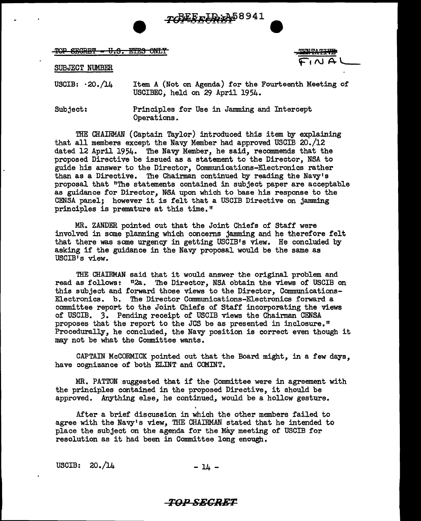

TOP SEGRET - U.S. EYES ONLY

 $F_{1}N A$ 

SUBJECT NUMBER

USCIB:  $\cdot$  20./14 Item A (Not on Agenda) for the Fourteenth Meeting 0£ USCIBEC, held on 29 April 1954.

Subject: Principles for Use in Jamming and Intercept Operations.

IBE CHAIRMAN (Captain Taylor) introduced this item by explaining that all members except the Navy Member had approved USCIB 20./12 dated 12 April 1954. The Navy Member, he said, recommends that the proposed Directive be issued as a statement to the Director, NSA to guide his answer to the Director, Communications-Electronics rather than as a Directive. The Chairman continued by reading the Navy's proposal that "The statements contained in subject paper are acceptable as guidance £or Director, NSA upon which to base his response to the CENSA panel; however it is felt that a USCIB Directive on jamming principles is premature at this time."

MR. ZANDER pointed out that the Joint Chiefs of Staff were involved in some planning which concerns jamming and he therefore felt that there was some urgency in getting USCIB's view. He concluded by asking if the guidance in the Navy proposal would be the same as USCIB1 s view.

'IHE CHAIRMAN said that it would answer the original problem and read as follows: "2a. The Director, NSA obtain the views of USCIB on this subject and forward those views to the Director, Communications-Electronics. b. The Director Communications-Electronics forward a committee report to the Joint Chiefs of Staff incorporating the views of USCIB. 3. Pending receipt of USCIB views the Chairman CENSA proposes that the report to the JCS be as presented in inclosure." Procedurally, he concluded, the Navy position is correct even though it may not be what the Committee wants.

CAPTAIN McCORMICK pointed out that the Board might, in a few days, have cognizance of both ELINT and COMINT.

MR. PATTON suggested that if the Committee were in agreement with the principles contained in the proposed Directive, it should be approved. Anything else, he continued, would be a hollow gesture.

After a brief discussion in which the other members failed to agree with the Navy's view, THE CHAIRMAN stated that he intended to place the subject on the agenda for the May meeting of USCIB for resolution as it had been in Committee long enough.

USCIB:  $20.14$  - 14 -

# *TO:PSECRET*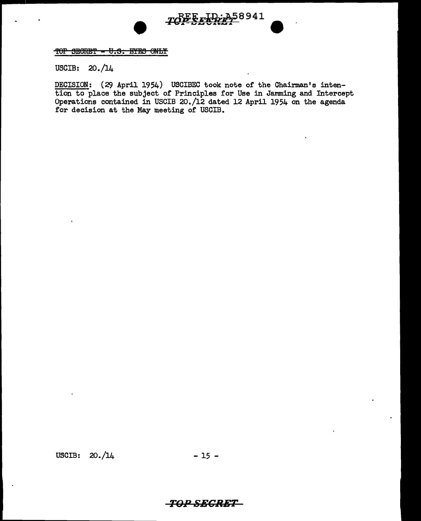

# • (1998)<br>Top Secret - U.S. EYES ONLY

USCIB: 20. /14

DECISION: (29 April 1954) USCIBEC took note of the Chairman's intention to place the subject of Principles for Use in Jamming and Intercept Operations contained in USCIB 20./12 dated 12 April 1954 on the agenda for decision at the May meeting of USCIB.

USCIB:  $20./14$  - 15 -

# *FOP SECRET*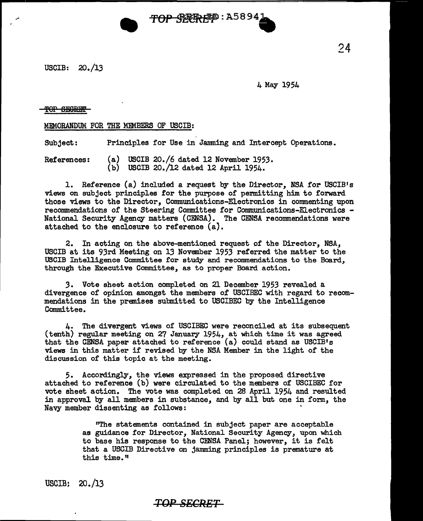

USCIB: 20. /13

4 May 1954

### TOP SEGRET

### MEMORANDUM FOR THE MEMBERS OF USCIB:

Subject: Principles for Use in Jamming and Intercept Operations.

References: (a) USCIB 20./6 dated 12 November 1953.

(b) USCIB 20./12 dated 12 April 1954.

1. Reference (a) included a request by the Director, NSA for USCIB1s views on subject principles for the purpose of permitting him to forward those views to the Director, Communications-Electronics in commenting upon recommendations of the Steering Committee for Communications-Electronics -National Security Agency matters (CENSA). The CENSA recommendations were attached to the enclosure to reference (a}.

2. In acting on the above-mentioned request of the Director, NSA, USCIB at its 93rd Meeting on 13 November 1953 ref erred the matter to the USCIB Intelligence Committee for study and recommendations to the Board, through the Executive Committee, as to proper Board action.

*3.* Vote sheet action completed on 21 December 1953 revealed a divergence of opinion amongst the members of USCIBEC with regard to recommendations in the premises submitted. to USCIBEC by the Intelligence Committee.

4. The divergent views of USCIBEC were reconciled. at its subsequent (tenth) regular meeting on 27 January 1954, at which time it was agreed that the CENSA paper attached to reference (a) could stand as USCIB's views in this matter if revised by the NSA Member in the light of the discussion of this topic at the meeting.

5. Accordingly, the views expressed in the proposed directive attached to reference (b) were circulated to the members of USCIBEC for vote sheet action. The vote was completed on 28 April 1954 and resulted in approval by all members in substance, and by all but one in form, the Navy member dissenting as follows:

> ''The statements contained in subject paper are acceptable as guidance for Director, National Security Agency, upon which to base his response to the CENSA Panel; however, it is felt that a USCIB Directive on jamming principles is premature at this time."

USCIB: 20./13

# **TOP SECRET**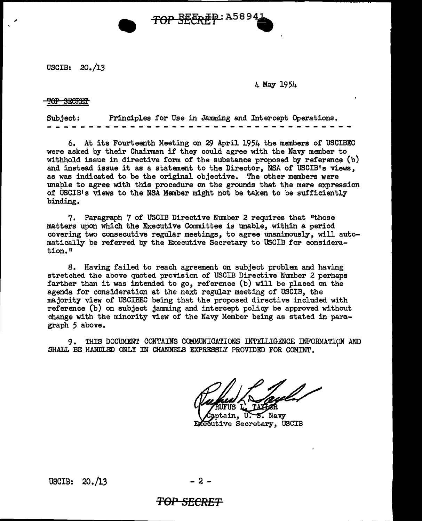

USCIB: 20. /13

4 May 1954

## TOP SECRET

Subject: Principles for Use in Jamming and Intercept Operations.

6. At its Fourteenth Meeting on 29 April 1954 the members of USCIBEC were asked by their Chairman if they could agree with the Navy member to withhold issue in directive form of the substance proposed by reference (b) and instead issue it as a statement to the Director. NSA of USCIB's views. as was indicated to be the original objective. The other members were unable to agree with this procedure on the grounds that the mere expression of USC!B' s views to the NSA Member might not be taken to be sufficiently binding.

7. Paragraph 7 of USCIB Directive Number 2 requires that "those matters upon which the Executive Committee is unable, within a period covering two consecutive regular meetings, to agree unanimously, will automatically be referred by the Executive Secretary to USCIB for consideration.<sup>n</sup>

S. Having failed to reach agreement on subject problem and having stretched the above quoted provision of USCIB Directive Number 2 perhaps farther than it was intended to go, reference (b) will be placed on the agenda for consideration at the next regular meeting of USCIB, the majority view of USCIBEC being that the proposed directive included with reference (b) on subject jamming and intercept policy be approved without change with the minority view of the Navy Member being as stated in paragraph 5 above.

9. THIS DOCUMENT CONTAINS COMMUNICATIONS INTELLIGENCE INFORMATipN AND SHALL BE HANDLED ONLY IN CHANNELS EXPRESSLY PROVIDED FOR COMINT.

aptain. U. 5. Navy Executive Secretary, USCIB

# **TOP SECRET**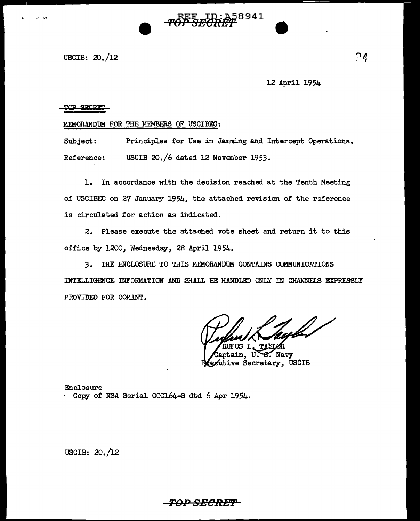USCIB: 20./12

\_ .......

# 12 April 1954

58941

### TOP SECRET

MEMORANDUM FOR THE MEMBERS OF USCIBEC:

Subject: Principles for Use in Jamming and Intercept Operations. Reference: USCIB 20./6 dated 12 November 1953.

1. In accordance with the decision reached at the Tenth Meeting of USCIBEC on 27 January 1954, the attached revision of the reference is circulated for action as ihdicated.

2. Please execute the attached vote sheet and return it to this office by 1200, Wednesday, 28 April 1954.

3. THE ENCLOSURE TO THIS MEMORANDUM CONTAINS COMMUNICATIONS INTELLIGENCE INFORMATION AND SHALL BE HANDLED ONLY IN CHANNEIS EXPRESSLY PROVIDED FOR COMINT.

RUFUS L TAXIOR

Captain, U<del>.S.</del> Navy<br>egutive Secretary, USCIB

Enclosure · Copy of NSA Serial 000164-S dtd 6 Apr 1954.

USCIB: 20./12

# **TO>-" SEORBf!**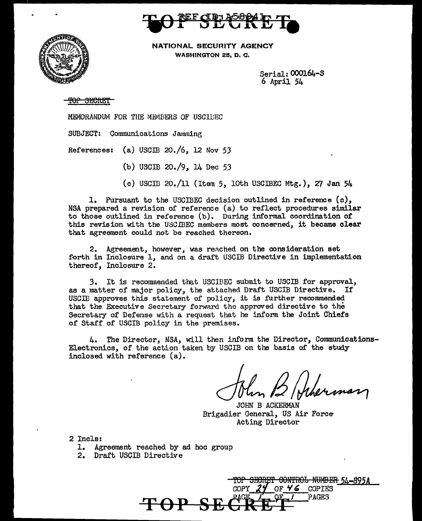

NATIONAL SECURITY AGENCY WASHINGTON 25, D. C,

> Serial: 000164-s 6 April 54

<del>-SECRET</del>

MEMORANDUM FOR THE MEMBERS OF USCILEC

SUBJECT: Communications Jamming

References: (a) USCIB  $20./6$ , 12 Nov 53

- (b) USCIB 20./9, 14 Dec 53
- (c) USCIB 20./11 (Item 5, 10th USCIBEC Mtg.), 27 Jan 54

1. Pursuant to the USCIBEC decision outlined in reference (c), NSA prepared a revision of reference (a) to reflect procedures similar to those outlined in reference (b). During informal coordination or this revision with the USCIBEC members most concerned, it became clear that agreement could not be reached thereon.

2. Agreement, however, was re~ched on the consideration set forth in Inclosure 1, and on a draft USCIB Directive in implementation thereof, Inclosure 2.

**3.** It is recommended that USCIBEC submit to USCIB for approval, matter of major policy. the attached Draft USCIB Directive. If as a matter of major policy, the attached Draft USCIB Directive. USCIE approves this statement of policy, it is further recommended that the Executive Secretary forward the approved directive to the Secretary of Defense with a request that he inform the Joint Chiefs of Staff of USCIB policy in the premises.

4. The Director, NSA, will then inform the Director, Communications-Electronics, of the action taken by USCIB on the basis of the study inclosed with reference (a).

JOHN' B ACKERMAN Brigadier General, US Air Force Acting Director

2 Incls:

- 1. Agreement reached by ad hoc group
- 2. Draft USCIB Directive

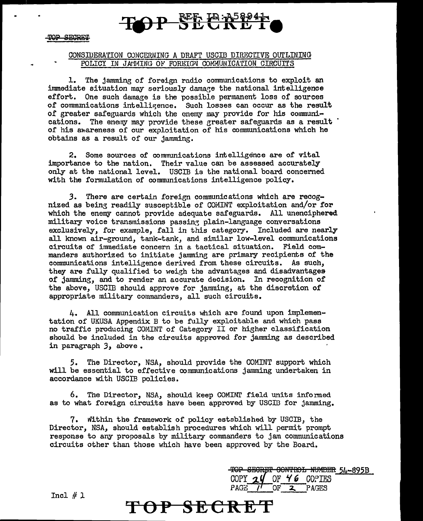

### **SECRET**

# CONSIDERATION CONCERNING A DRAFT USCIB DIRECTIVE OUTLINING POLICY IN JAMMING OF FOREIGN COMMUNICATION CIRCUITS

1. The jamming of foreign radio communications to exploit an immediate situation may seriously damage the national intelligence effort. One such damage is the possible permanent loss of sources of communications intelligence. Such losses can occur as the result of greater safeguards which the enemy may provide for his communications. The enemy may provide these greater safeguards as a result of his awareness of our exploitation of his communications which he obtains as a result of our jamming.

2. Some sources of communications intelligence are of vital importance to the nation. Their value can be assessed accurately only at the national level. USCIB is the national board concerned with the formulation of communications intelligence policy.

3. There are certain foreign communications which are recognized as being readily susceptible of COMINT exploitation and/or for which the enemy cannot provide adequate safeguards. All unenciphered military voice transmissions passing plain-language conversations exclusively, for example, fall in this category. Included are nearly all known air-ground, tank-tank, and similar low-level communications circuits of immediate concern in a tactical situation. Field commanders authorized to initiate jamming are primary recipients of the communications intelligence derived from these circuits. As such, they are fully qualified to weigh the advantages and disadvantages of jamming, and to render an accurate decision. In recognition of the above, USCIB should approve for jamming, at the discretion of appropriate military commanders, all such circuits.

4. All communication circuits which are found upon implementation of UKUSA Appendix B to be fully exploitable and which pass no traffic producing COMINT of Category II or higher classification should be included in the circuits approved for jamming as described in paragraph 3, above.

The Director, NSA, should provide the COMINT support which 5. will be essential to effective communications jamming undertaken in accordance with USCIB policies.

6. The Director, NSA, should keep COMINT field units informed as to what foreign circuits have been approved by USCIB for jamming.

7. Within the framework of policy established by USCIB, the Director, NSA, should establish procedures which will permit prompt response to any proposals by military commanders to jam communications circuits other than those which have been approved by the Board.

> TOP SECRET CONTROL NUMBER 54-895B OF  $46$  COPIES COPY  $\alpha$ PAGE OF PAGES  $\mathbf{z}$

Incl  $# 1$ 

OP SECRET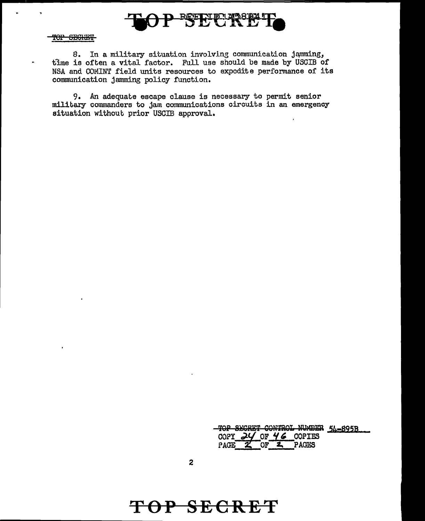

### TOP SEGRET

8. In a military situation involving communication jamming, time is often a vital factor. Full use should be made by USCIB of NSA and COMINT field units resources to expedite performance of its communication jamming policy function.

9. An adequate escape clause is necessary to permit senior military commanders to jam communications circuits in an emergency situation without prior USCIB approval.

|             |  | ------------- | מאמחות החסיות המיינות היידע מאיי<br><b>WOTERS</b> | L-895B |
|-------------|--|---------------|---------------------------------------------------|--------|
| COPY        |  |               | LU OF 46 COPIES                                   |        |
| <b>PACE</b> |  |               | <b>PJITA</b>                                      |        |

# TOP SECRET